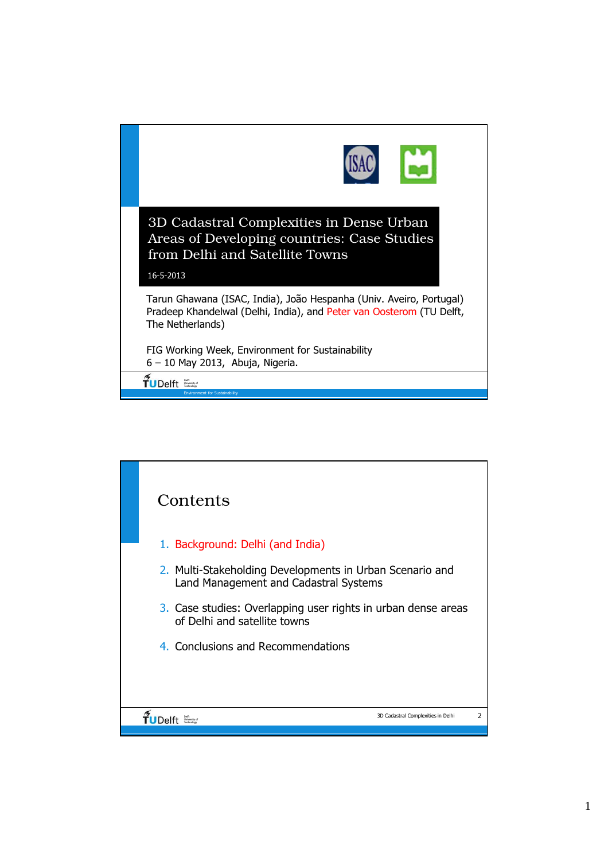

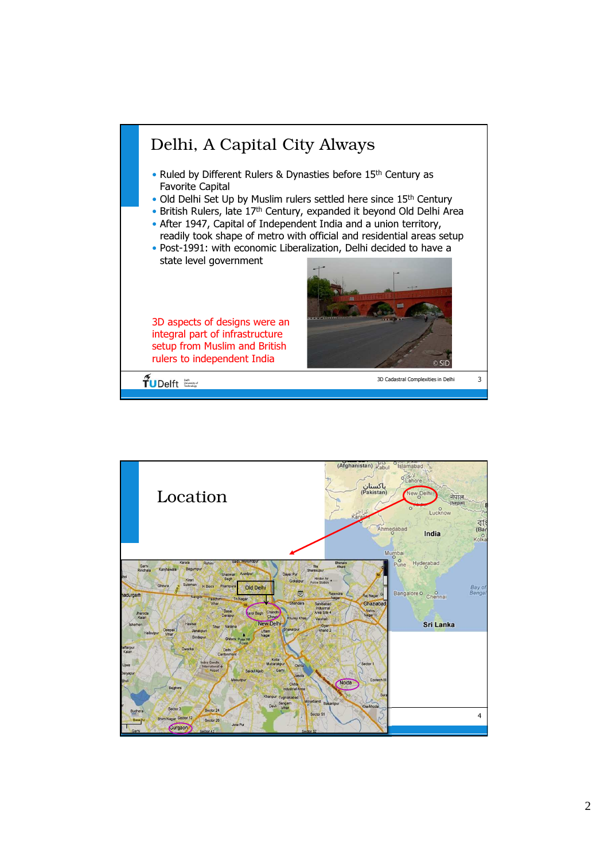

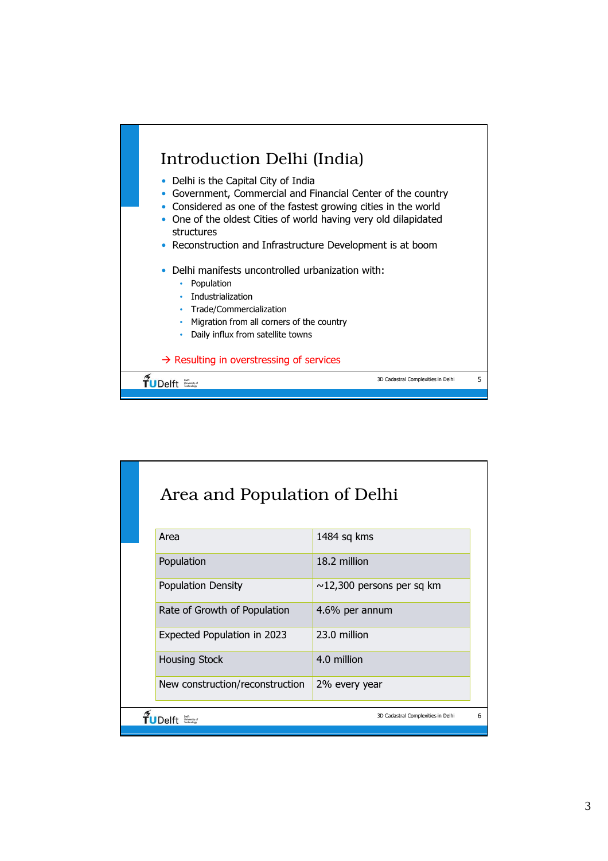

|                                         | Area and Population of Delhi    |                                 |  |  |  |
|-----------------------------------------|---------------------------------|---------------------------------|--|--|--|
|                                         | Area                            | 1484 sq kms                     |  |  |  |
|                                         | Population                      | 18.2 million                    |  |  |  |
|                                         | <b>Population Density</b>       | $\sim$ 12,300 persons per sq km |  |  |  |
|                                         | Rate of Growth of Population    | 4.6% per annum                  |  |  |  |
|                                         | Expected Population in 2023     | 23.0 million                    |  |  |  |
|                                         | <b>Housing Stock</b>            | 4.0 million                     |  |  |  |
|                                         | New construction/reconstruction | 2% every year                   |  |  |  |
| 6<br>3D Cadastral Complexities in Delhi |                                 |                                 |  |  |  |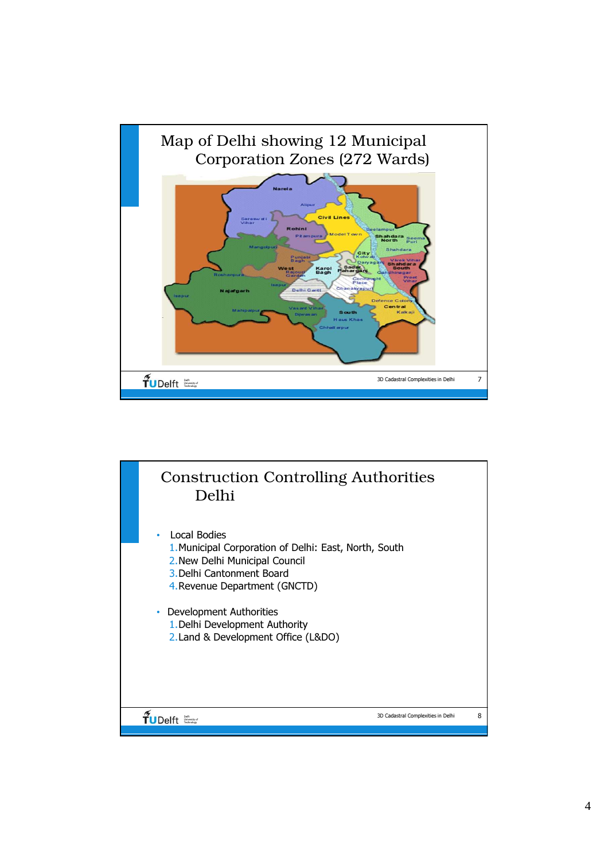

## 3D Cadastral Complexities in Delhi 8  $\widetilde{T}$ UDelft Construction Controlling Authorities Delhi • Local Bodies 1.Municipal Corporation of Delhi: East, North, South 2.New Delhi Municipal Council 3.Delhi Cantonment Board 4.Revenue Department (GNCTD) • Development Authorities 1.Delhi Development Authority 2.Land & Development Office (L&DO)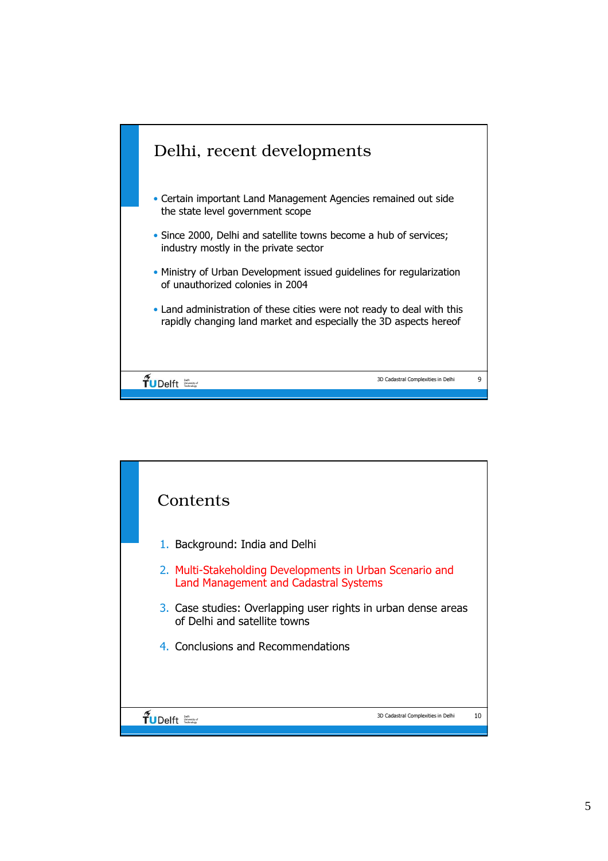

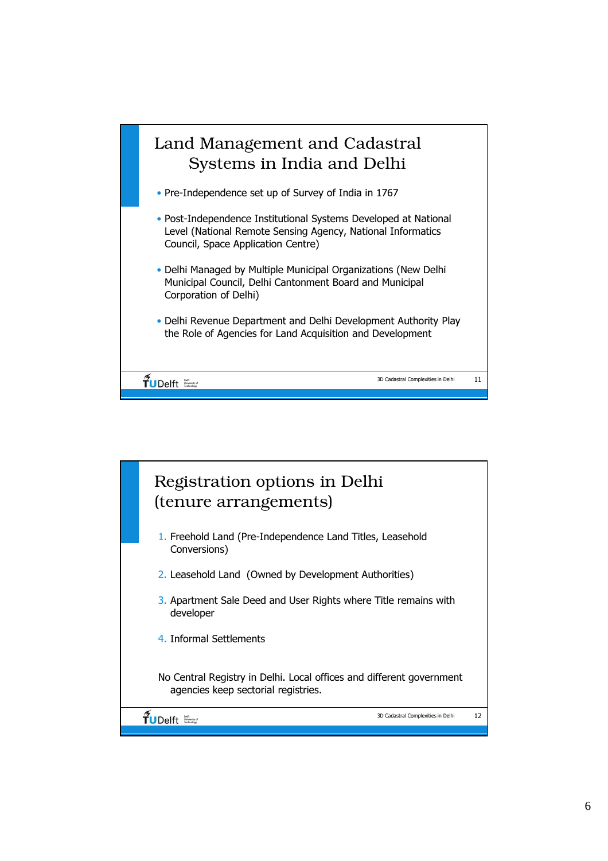

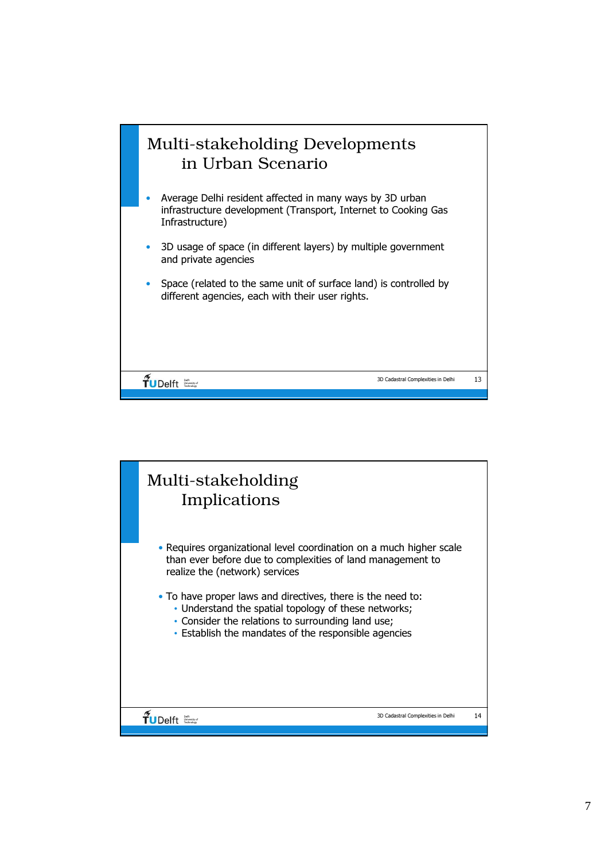

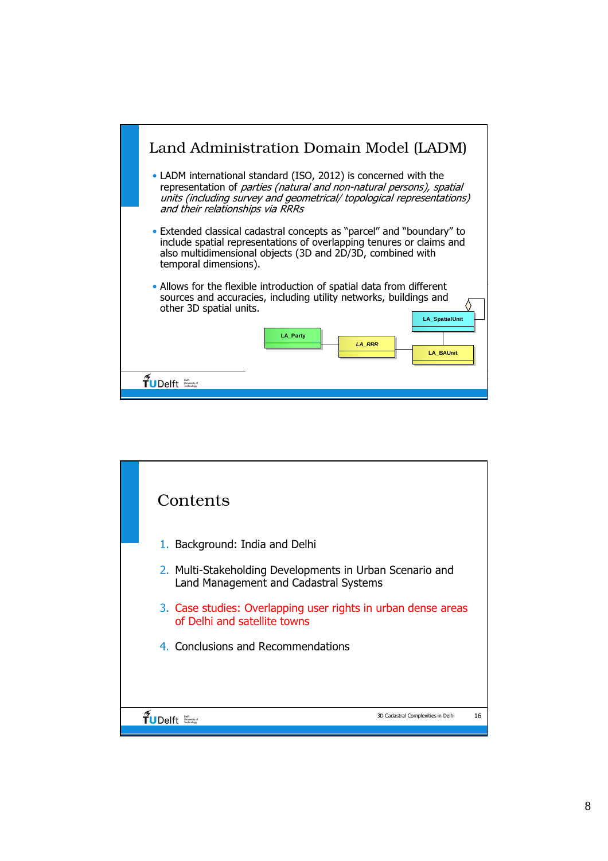

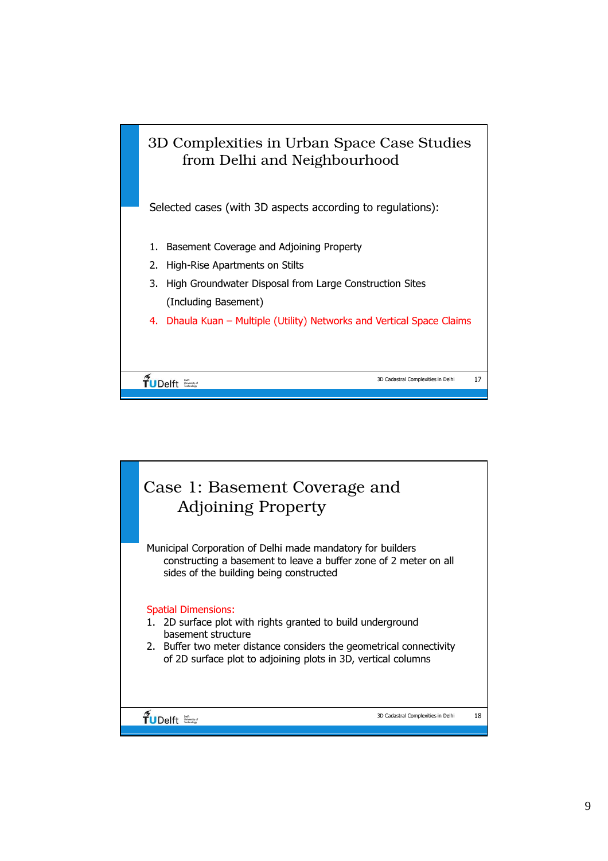

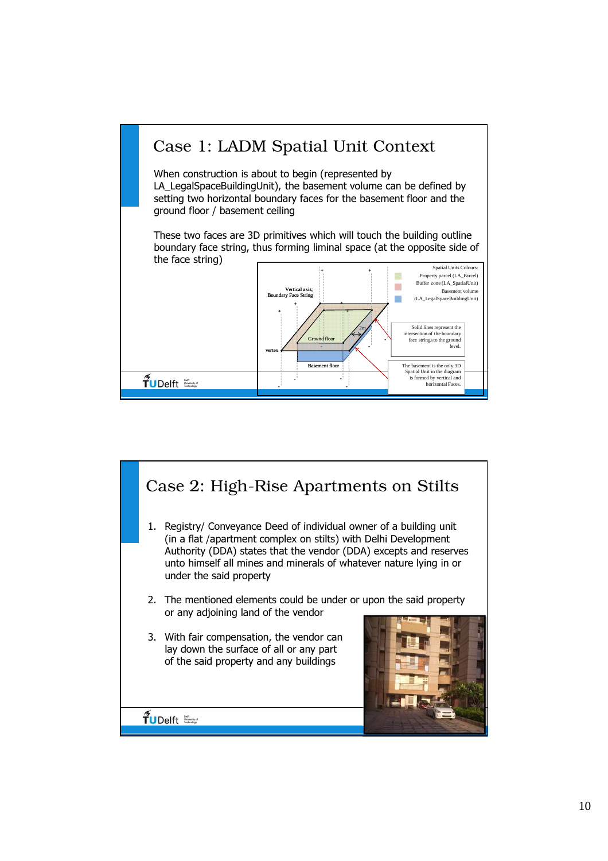

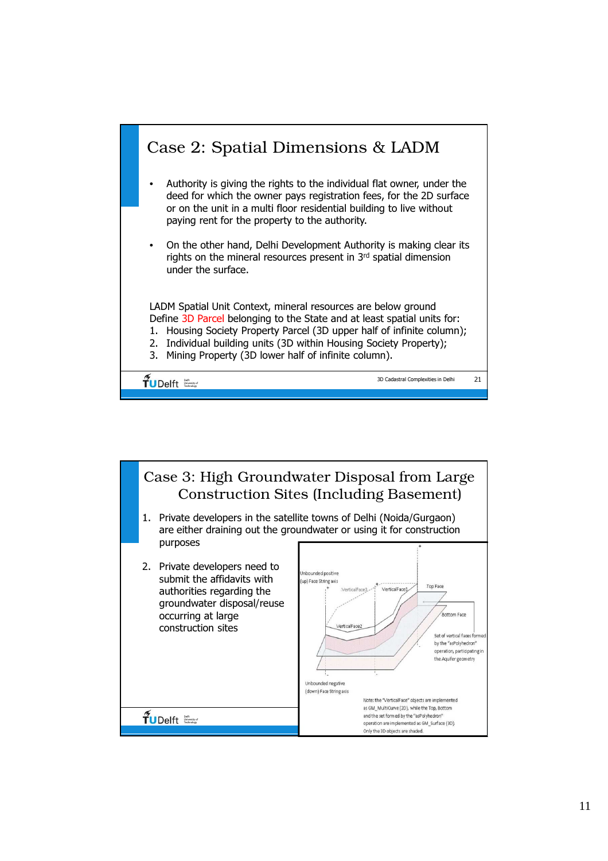

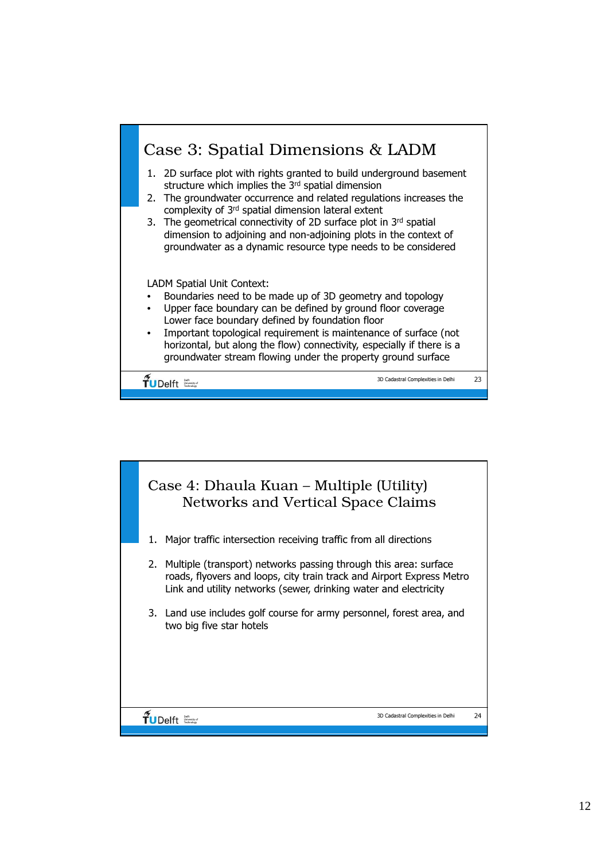

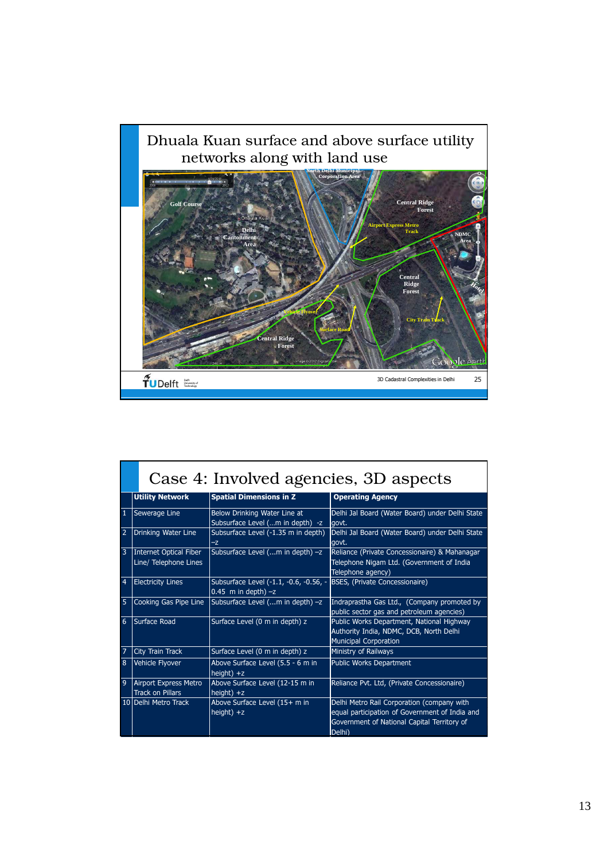

|   | Case 4: Involved agencies, 3D aspects            |                                                                  |                                                                                                                                                       |  |  |
|---|--------------------------------------------------|------------------------------------------------------------------|-------------------------------------------------------------------------------------------------------------------------------------------------------|--|--|
|   | <b>Utility Network</b>                           | <b>Spatial Dimensions in Z</b>                                   | <b>Operating Agency</b>                                                                                                                               |  |  |
| 1 | Sewerage Line                                    | Below Drinking Water Line at<br>Subsurface Level (m in depth) -z | Delhi Jal Board (Water Board) under Delhi State<br>govt.                                                                                              |  |  |
| 2 | Drinking Water Line                              | Subsurface Level (-1.35 m in depth)<br>$-z$                      | Delhi Jal Board (Water Board) under Delhi State<br>govt.                                                                                              |  |  |
| 3 | Internet Optical Fiber<br>Line/ Telephone Lines  | Subsurface Level (m in depth) -z                                 | Reliance (Private Concessionaire) & Mahanagar<br>Telephone Nigam Ltd. (Government of India<br>Telephone agency)                                       |  |  |
| 4 | <b>Electricity Lines</b>                         | Subsurface Level (-1.1, -0.6, -0.56, -<br>0.45 m in depth) $-z$  | BSES, (Private Concessionaire)                                                                                                                        |  |  |
| 5 | Cooking Gas Pipe Line                            | Subsurface Level (m in depth) -z                                 | Indraprastha Gas Ltd., (Company promoted by<br>public sector gas and petroleum agencies)                                                              |  |  |
| 6 | Surface Road                                     | Surface Level (0 m in depth) z                                   | Public Works Department, National Highway<br>Authority India, NDMC, DCB, North Delhi<br><b>Municipal Corporation</b>                                  |  |  |
| 7 | City Train Track                                 | Surface Level (0 m in depth) z                                   | Ministry of Railways                                                                                                                                  |  |  |
| 8 | Vehicle Flyover                                  | Above Surface Level (5.5 - 6 m in<br>height) $+z$                | Public Works Department                                                                                                                               |  |  |
| 9 | Airport Express Metro<br><b>Track on Pillars</b> | Above Surface Level (12-15 m in<br>height) $+z$                  | Reliance Pvt. Ltd, (Private Concessionaire)                                                                                                           |  |  |
|   | 10 Delhi Metro Track                             | Above Surface Level (15+ m in<br>height) $+z$                    | Delhi Metro Rail Corporation (company with<br>equal participation of Government of India and<br>Government of National Capital Territory of<br>Delhi) |  |  |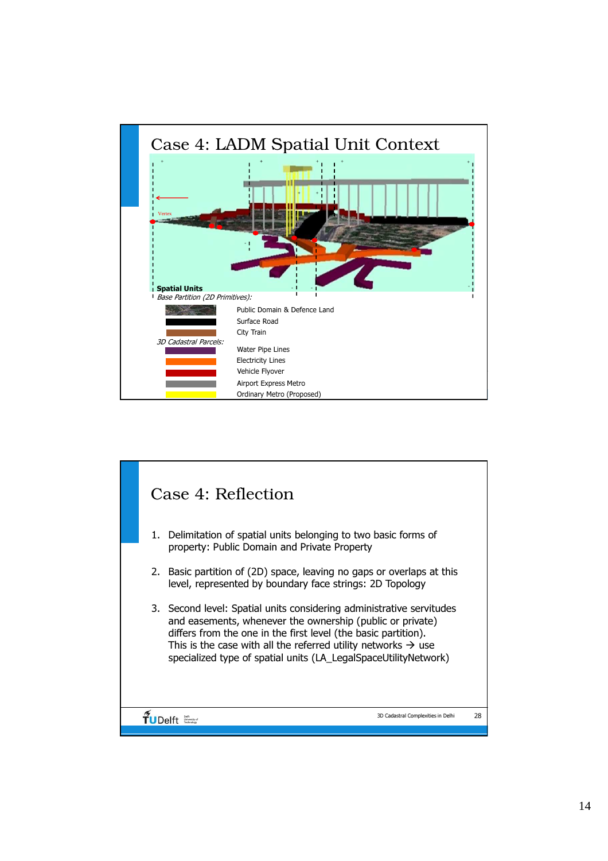

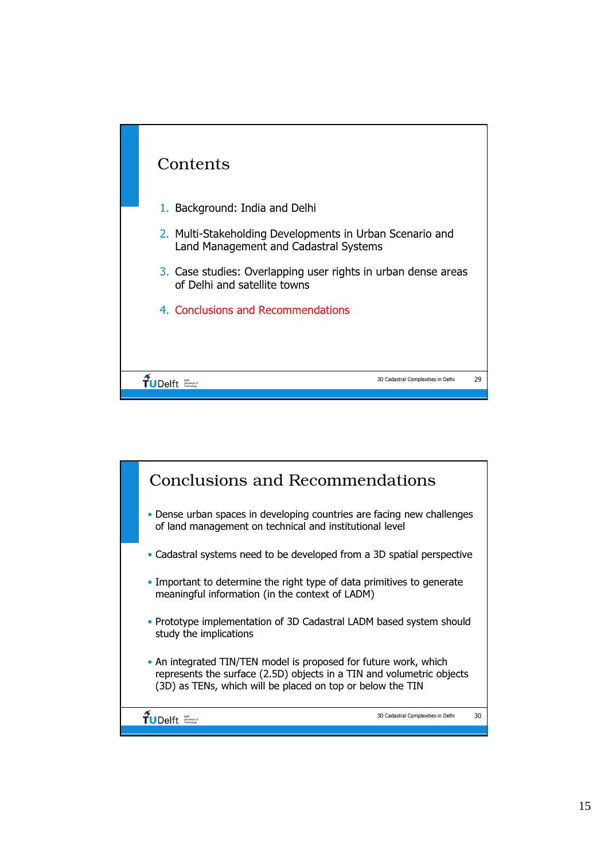